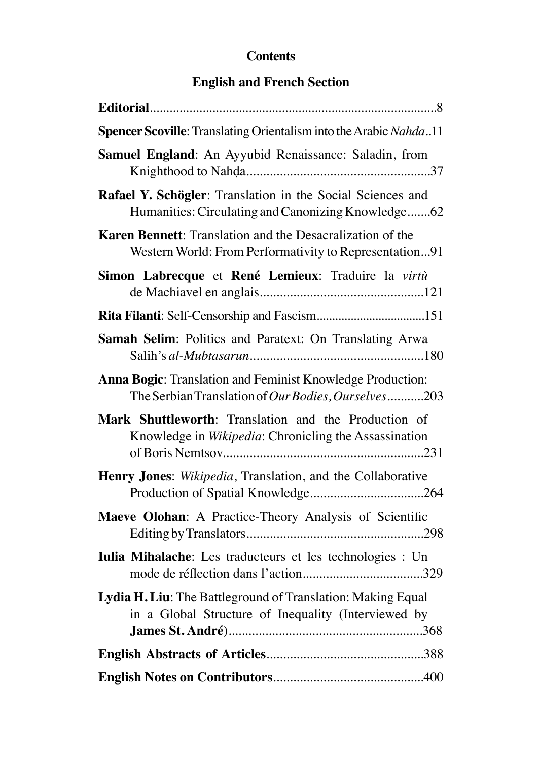## **Contents**

## **English and French Section**

| Spencer Scoville: Translating Orientalism into the Arabic Nahda11                                                          |
|----------------------------------------------------------------------------------------------------------------------------|
| Samuel England: An Ayyubid Renaissance: Saladin, from                                                                      |
| Rafael Y. Schögler: Translation in the Social Sciences and<br>Humanities: Circulating and Canonizing Knowledge62           |
| <b>Karen Bennett:</b> Translation and the Desacralization of the<br>Western World: From Performativity to Representation91 |
| Simon Labrecque et René Lemieux: Traduire la virtù                                                                         |
|                                                                                                                            |
| Samah Selim: Politics and Paratext: On Translating Arwa                                                                    |
| Anna Bogic: Translation and Feminist Knowledge Production:<br>The Serbian Translation of Our Bodies, Ourselves203          |
| Mark Shuttleworth: Translation and the Production of<br>Knowledge in Wikipedia: Chronicling the Assassination              |
| Henry Jones: Wikipedia, Translation, and the Collaborative                                                                 |
| Maeve Olohan: A Practice-Theory Analysis of Scientific                                                                     |
| Iulia Mihalache: Les traducteurs et les technologies : Un                                                                  |
| Lydia H. Liu: The Battleground of Translation: Making Equal<br>in a Global Structure of Inequality (Interviewed by         |
|                                                                                                                            |
|                                                                                                                            |